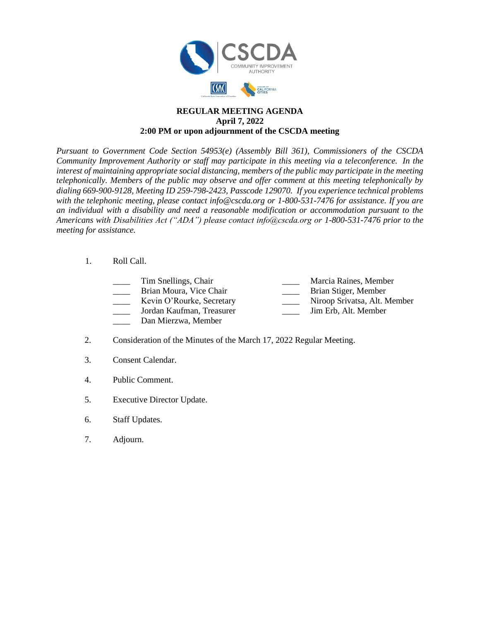

## **REGULAR MEETING AGENDA April 7, 2022 2:00 PM or upon adjournment of the CSCDA meeting**

*Pursuant to Government Code Section 54953(e) (Assembly Bill 361), Commissioners of the CSCDA Community Improvement Authority or staff may participate in this meeting via a teleconference. In the interest of maintaining appropriate social distancing, members of the public may participate in the meeting telephonically. Members of the public may observe and offer comment at this meeting telephonically by dialing 669-900-9128, Meeting ID 259-798-2423, Passcode 129070. If you experience technical problems with the telephonic meeting, please contact info@cscda.org or 1-800-531-7476 for assistance. If you are an individual with a disability and need a reasonable modification or accommodation pursuant to the Americans with Disabilities Act ("ADA") please contact info@cscda.org or 1-800-531-7476 prior to the meeting for assistance.*

## 1. Roll Call.

- Tim Snellings, Chair **Marcia Raines, Member** Marcia Raines, Member
- Brian Moura, Vice Chair **Brian Stiger**, Member
- 
- -
- Kevin O'Rourke, Secretary **Niroop Srivatsa**, Alt. Member
- \_\_\_\_ Jordan Kaufman, Treasurer \_\_\_\_ Jim Erb, Alt. Member
- \_\_\_\_ Dan Mierzwa, Member
- 2. Consideration of the Minutes of the March 17, 2022 Regular Meeting.
- 3. Consent Calendar.
- 4. Public Comment.
- 5. Executive Director Update.
- 6. Staff Updates.
- 7. Adjourn.